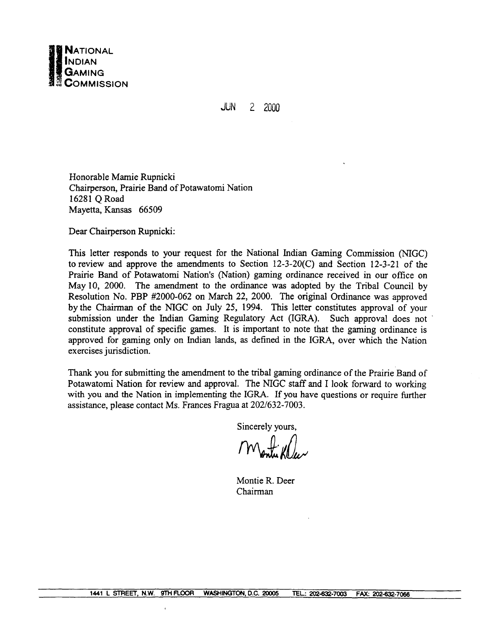

**JUN**  $2 - 2000$ 

Honorable Mamie Rupnicki Chairperson, Prairie Band of Potawatomi Nation 16281 Q Road Mayetta, Kansas 66509

Dear Chairperson Rupnicki:

This letter responds to your request for the National Indian Gaming Commission (NIGC) to review and approve the amendments to Section  $12-3-20(C)$  and Section  $12-3-21$  of the Prairie Band of Potawatomi Nation's (Nation) gaming ordinance received in our office on May 10, 2000. The amendment to the ordinance was adopted by the Tribal Council by Resolution No. PBP #2000-062 on March 22, 2000. The original Ordinance was approved by the Chairman of the NIGC on July 25, 1994. This letter constitutes approval of your submission under the Indian Gaming Regulatory Act (IGRA). Such approval does not constitute approval of specific games. It is important to note that the gaming ordinance is approved for gaming only on Indian lands, as defined in the IGRA, over which the Nation exercises jurisdiction.

Thank you for submitting the amendment to the tribal gaming ordinance of the Prairie Band of Potawatomi Nation for review and approval. The NIGC staff and I look forward to working with you and the Nation in implementing the IGRA. If you have questions or require further assistance, please contact Ms. Frances Fragua at 202/632-7003.

Sincerely yours,

Montie R. Deer Chairman